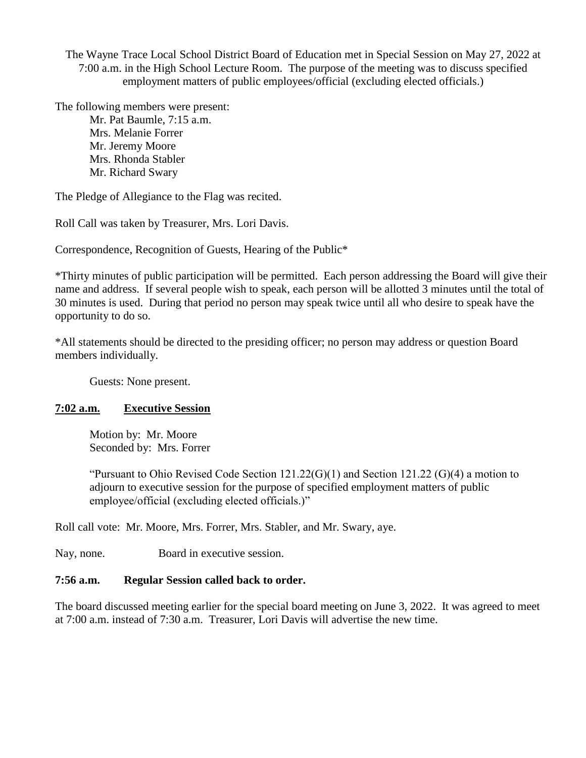The Wayne Trace Local School District Board of Education met in Special Session on May 27, 2022 at 7:00 a.m. in the High School Lecture Room. The purpose of the meeting was to discuss specified employment matters of public employees/official (excluding elected officials.)

The following members were present:

Mr. Pat Baumle, 7:15 a.m. Mrs. Melanie Forrer Mr. Jeremy Moore Mrs. Rhonda Stabler Mr. Richard Swary

The Pledge of Allegiance to the Flag was recited.

Roll Call was taken by Treasurer, Mrs. Lori Davis.

Correspondence, Recognition of Guests, Hearing of the Public\*

\*Thirty minutes of public participation will be permitted. Each person addressing the Board will give their name and address. If several people wish to speak, each person will be allotted 3 minutes until the total of 30 minutes is used. During that period no person may speak twice until all who desire to speak have the opportunity to do so.

\*All statements should be directed to the presiding officer; no person may address or question Board members individually.

Guests: None present.

## **7:02 a.m. Executive Session**

Motion by: Mr. Moore Seconded by: Mrs. Forrer

"Pursuant to Ohio Revised Code Section 121.22(G)(1) and Section 121.22 (G)(4) a motion to adjourn to executive session for the purpose of specified employment matters of public employee/official (excluding elected officials.)"

Roll call vote: Mr. Moore, Mrs. Forrer, Mrs. Stabler, and Mr. Swary, aye.

Nay, none. Board in executive session.

## **7:56 a.m. Regular Session called back to order.**

The board discussed meeting earlier for the special board meeting on June 3, 2022. It was agreed to meet at 7:00 a.m. instead of 7:30 a.m. Treasurer, Lori Davis will advertise the new time.